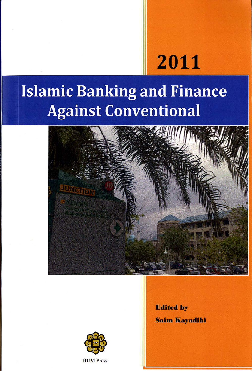# 2011

# **Islamic Banking and Finance Against Conventional**





**IIUM** Press

**Edited by Saim Kayadibi**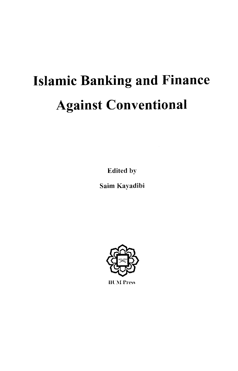# **Islamic Banking and Finance Against Conventional**

**Edited by** 

Saim Kayadibi



**IIUM Press**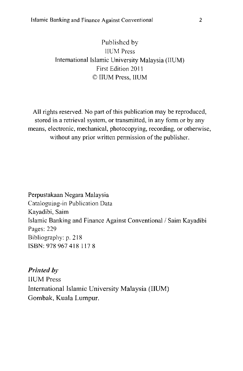#### Published by **HUM Press** International Islamic University Malaysia (IIUM) First Edition 2011 © IIUM Press. IIUM

All rights reserved. No part of this publication may be reproduced. stored in a retrieval system, or transmitted, in any form or by any means, electronic, mechanical, photocopying, recording, or otherwise, without any prior written permission of the publisher.

Perpustakaan Negara Malaysia Cataloguing-in Publication Data Kayadibi, Saim Islamic Banking and Finance Against Conventional / Saim Kayadibi Pages: 229 Bibliography: p. 218 ISBN: 978 967 418 1178

**Printed by IIUM** Press International Islamic University Malaysia (IIUM) Gombak, Kuala Lumpur.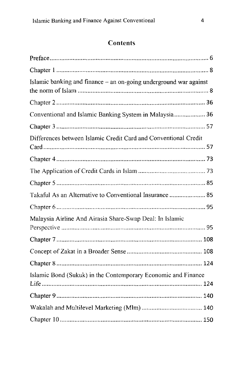## Contents

| Islamic banking and finance - an on-going underground war against |  |
|-------------------------------------------------------------------|--|
|                                                                   |  |
| Conventional and Islamic Banking System in Malaysia 36            |  |
|                                                                   |  |
| Differences between Islamic Credit Card and Conventional Credit   |  |
|                                                                   |  |
|                                                                   |  |
|                                                                   |  |
| Takaful As an Alternative to Conventional Insurance  85           |  |
|                                                                   |  |
| Malaysia Airline And Airasia Share-Swap Deal: In Islamic          |  |
|                                                                   |  |
|                                                                   |  |
|                                                                   |  |
| Islamic Bond (Sukuk) in the Contemporary Economic and Finance     |  |
|                                                                   |  |
|                                                                   |  |
|                                                                   |  |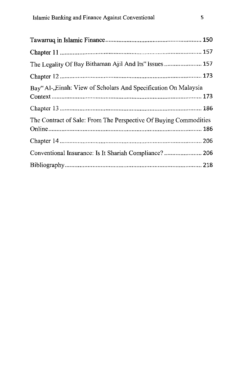| The Legality Of Bay Bithaman Ajil And Its" Issues 157            |
|------------------------------------------------------------------|
|                                                                  |
| Bay" Al-, Einah: View of Scholars And Specification On Malaysia  |
|                                                                  |
|                                                                  |
| The Contract of Sale: From The Perspective Of Buying Commodities |
|                                                                  |
|                                                                  |
| Conventional Insurance: Is It Shariah Compliance? 206            |
|                                                                  |